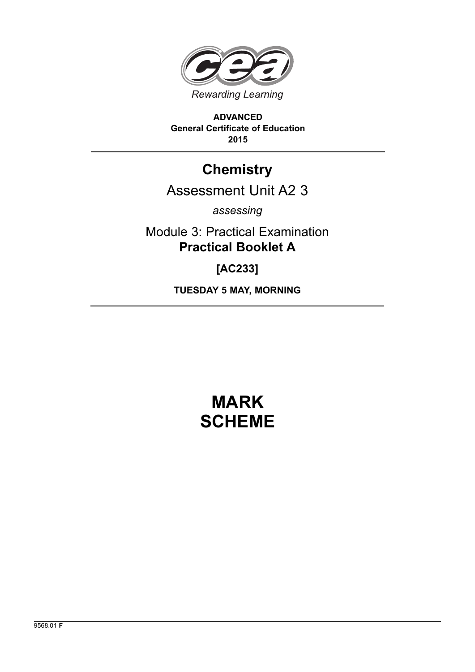

**ADVANCED General Certificate of Education 2015**

# **Chemistry**

# Assessment Unit A2 3

*assessing*

Module 3: Practical Examination **Practical Booklet A**

**[AC233]**

**TUESDAY 5 MAY, MORNING**

# **MARK SCHEME**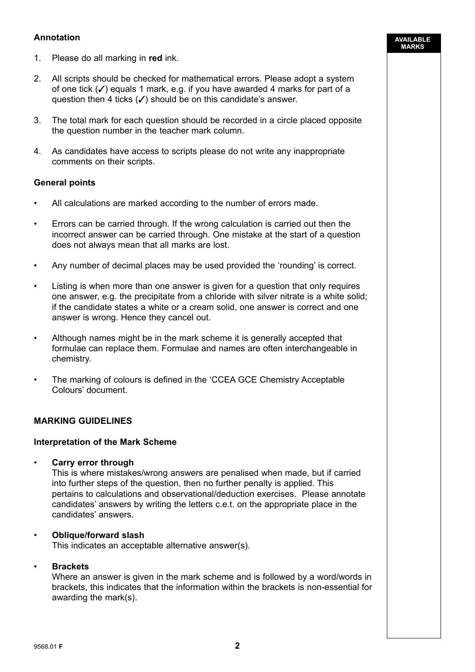### **Annotation**

- 1. Please do all marking in **red** ink.
- 2. All scripts should be checked for mathematical errors. Please adopt a system of one tick  $(V)$  equals 1 mark, e.g. if you have awarded 4 marks for part of a question then 4 ticks  $(\checkmark)$  should be on this candidate's answer.

**AVAILABLE MARKS**

- 3. The total mark for each question should be recorded in a circle placed opposite the question number in the teacher mark column.
- 4. As candidates have access to scripts please do not write any inappropriate comments on their scripts.

#### **General points**

- All calculations are marked according to the number of errors made.
- Errors can be carried through. If the wrong calculation is carried out then the incorrect answer can be carried through. One mistake at the start of a question does not always mean that all marks are lost.
- Any number of decimal places may be used provided the 'rounding' is correct.
- Listing is when more than one answer is given for a question that only requires one answer, e.g. the precipitate from a chloride with silver nitrate is a white solid; if the candidate states a white or a cream solid, one answer is correct and one answer is wrong. Hence they cancel out.
- Although names might be in the mark scheme it is generally accepted that formulae can replace them. Formulae and names are often interchangeable in chemistry.
- The marking of colours is defined in the 'CCEA GCE Chemistry Acceptable Colours' document.

#### **MARKING GUIDELINES**

#### **Interpretation of the Mark Scheme**

• **Carry error through**

 This is where mistakes/wrong answers are penalised when made, but if carried into further steps of the question, then no further penalty is applied. This pertains to calculations and observational/deduction exercises. Please annotate candidates' answers by writing the letters c.e.t. on the appropriate place in the candidates' answers.

# • **Oblique/forward slash**

This indicates an acceptable alternative answer(s).

#### • **Brackets**

 Where an answer is given in the mark scheme and is followed by a word/words in brackets, this indicates that the information within the brackets is non-essential for awarding the mark(s).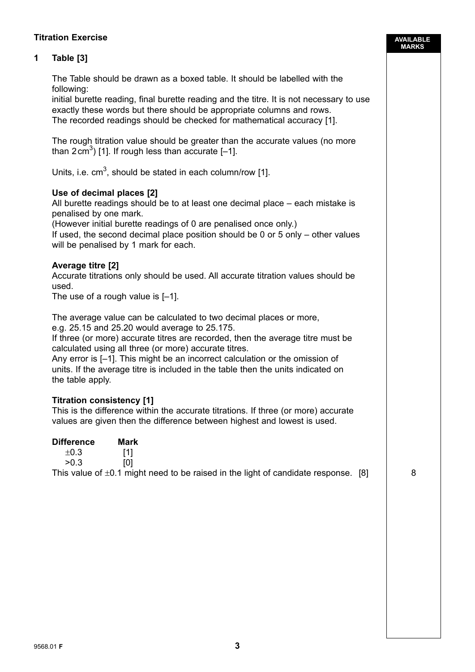### **Titration Exercise**

## **1 Table [3]**

| The Table should be drawn as a boxed table. It should be labelled with the |
|----------------------------------------------------------------------------|
| following:                                                                 |

 initial burette reading, final burette reading and the titre. It is not necessary to use exactly these words but there should be appropriate columns and rows. The recorded readings should be checked for mathematical accuracy [1].

 The rough titration value should be greater than the accurate values (no more than  $2 \text{ cm}^3$ ) [1]. If rough less than accurate [-1].

Units, i.e.  $cm^3$ , should be stated in each column/row [1].

#### **Use of decimal places [2]**

 All burette readings should be to at least one decimal place – each mistake is penalised by one mark.

(However initial burette readings of 0 are penalised once only.)

 If used, the second decimal place position should be 0 or 5 only – other values will be penalised by 1 mark for each.

#### **Average titre [2]**

 Accurate titrations only should be used. All accurate titration values should be used.

The use of a rough value is [–1].

The average value can be calculated to two decimal places or more,

e.g. 25.15 and 25.20 would average to 25.175.

 If three (or more) accurate titres are recorded, then the average titre must be calculated using all three (or more) accurate titres.

 Any error is [–1]. This might be an incorrect calculation or the omission of units. If the average titre is included in the table then the units indicated on the table apply.

#### **Titration consistency [1]**

 This is the difference within the accurate titrations. If three (or more) accurate values are given then the difference between highest and lowest is used.

| <b>Difference</b> | Mark                                                                                    |  |
|-------------------|-----------------------------------------------------------------------------------------|--|
| $\pm 0.3$         |                                                                                         |  |
| >0.3              |                                                                                         |  |
|                   | This value of $\pm 0.1$ might need to be raised in the light of candidate response. [8] |  |

**AVAILABLE MARKS**